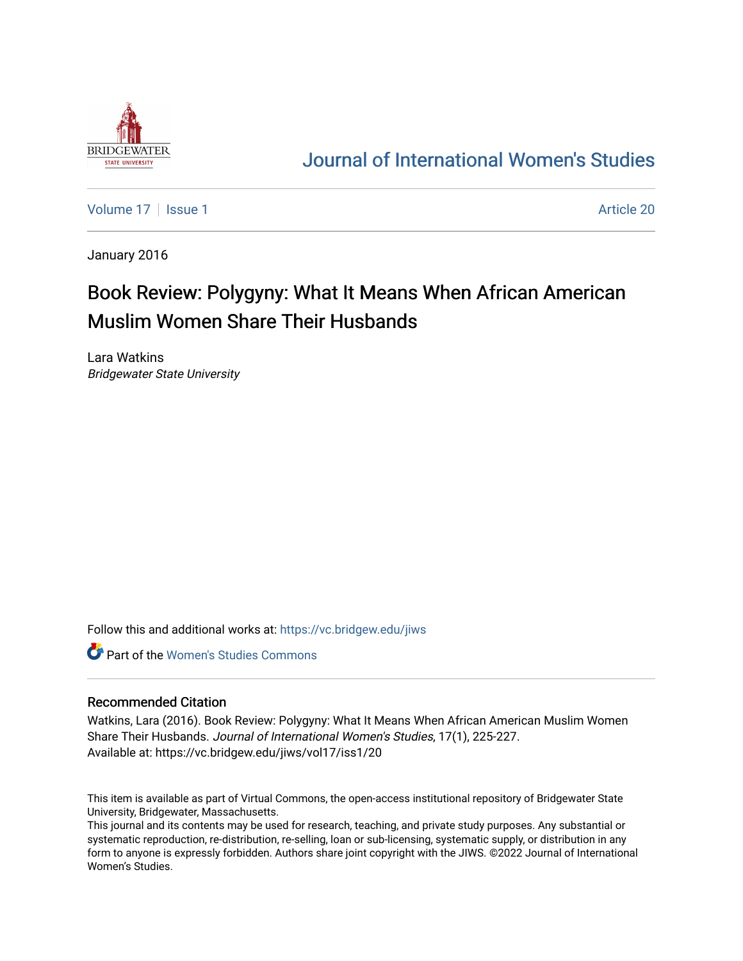

## [Journal of International Women's Studies](https://vc.bridgew.edu/jiws)

[Volume 17](https://vc.bridgew.edu/jiws/vol17) | [Issue 1](https://vc.bridgew.edu/jiws/vol17/iss1) Article 20

January 2016

# Book Review: Polygyny: What It Means When African American Muslim Women Share Their Husbands

Lara Watkins Bridgewater State University

Follow this and additional works at: [https://vc.bridgew.edu/jiws](https://vc.bridgew.edu/jiws?utm_source=vc.bridgew.edu%2Fjiws%2Fvol17%2Fiss1%2F20&utm_medium=PDF&utm_campaign=PDFCoverPages)

**C** Part of the Women's Studies Commons

### Recommended Citation

Watkins, Lara (2016). Book Review: Polygyny: What It Means When African American Muslim Women Share Their Husbands. Journal of International Women's Studies, 17(1), 225-227. Available at: https://vc.bridgew.edu/jiws/vol17/iss1/20

This item is available as part of Virtual Commons, the open-access institutional repository of Bridgewater State University, Bridgewater, Massachusetts.

This journal and its contents may be used for research, teaching, and private study purposes. Any substantial or systematic reproduction, re-distribution, re-selling, loan or sub-licensing, systematic supply, or distribution in any form to anyone is expressly forbidden. Authors share joint copyright with the JIWS. ©2022 Journal of International Women's Studies.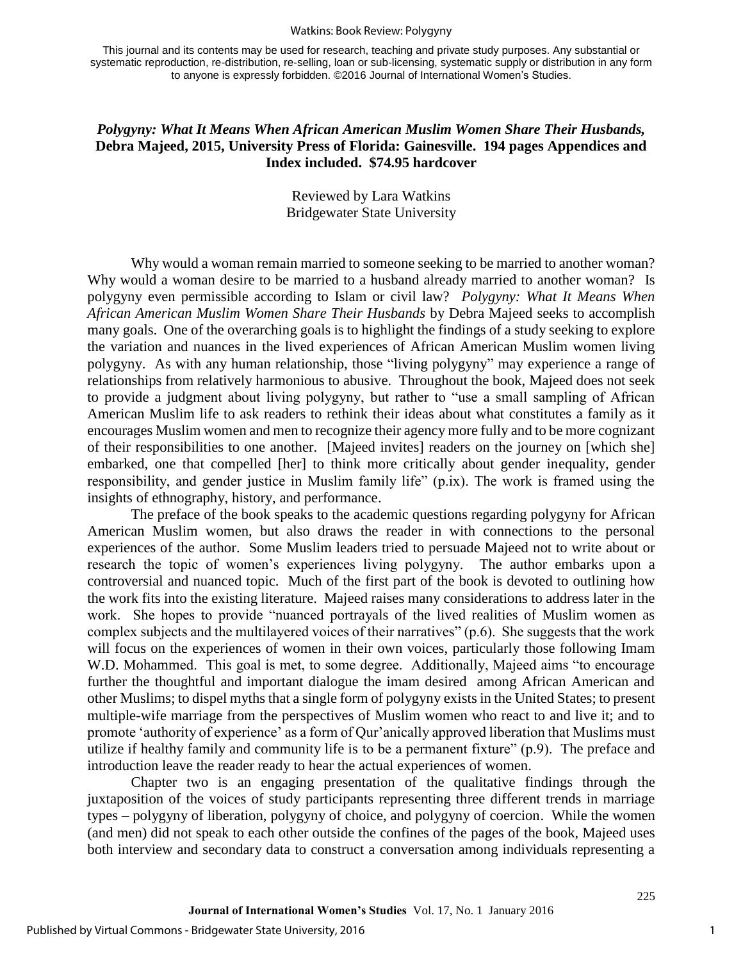#### Watkins: Book Review: Polygyny

This journal and its contents may be used for research, teaching and private study purposes. Any substantial or systematic reproduction, re-distribution, re-selling, loan or sub-licensing, systematic supply or distribution in any form to anyone is expressly forbidden. ©2016 Journal of International Women's Studies.

## *Polygyny: What It Means When African American Muslim Women Share Their Husbands,*  **Debra Majeed, 2015, University Press of Florida: Gainesville. 194 pages Appendices and Index included. \$74.95 hardcover**

## Reviewed by Lara Watkins Bridgewater State University

Why would a woman remain married to someone seeking to be married to another woman? Why would a woman desire to be married to a husband already married to another woman? Is polygyny even permissible according to Islam or civil law? *Polygyny: What It Means When African American Muslim Women Share Their Husbands* by Debra Majeed seeks to accomplish many goals. One of the overarching goals is to highlight the findings of a study seeking to explore the variation and nuances in the lived experiences of African American Muslim women living polygyny. As with any human relationship, those "living polygyny" may experience a range of relationships from relatively harmonious to abusive. Throughout the book, Majeed does not seek to provide a judgment about living polygyny, but rather to "use a small sampling of African American Muslim life to ask readers to rethink their ideas about what constitutes a family as it encourages Muslim women and men to recognize their agency more fully and to be more cognizant of their responsibilities to one another. [Majeed invites] readers on the journey on [which she] embarked, one that compelled [her] to think more critically about gender inequality, gender responsibility, and gender justice in Muslim family life" (p.ix). The work is framed using the insights of ethnography, history, and performance.

 The preface of the book speaks to the academic questions regarding polygyny for African American Muslim women, but also draws the reader in with connections to the personal experiences of the author. Some Muslim leaders tried to persuade Majeed not to write about or research the topic of women's experiences living polygyny. The author embarks upon a controversial and nuanced topic. Much of the first part of the book is devoted to outlining how the work fits into the existing literature. Majeed raises many considerations to address later in the work. She hopes to provide "nuanced portrayals of the lived realities of Muslim women as complex subjects and the multilayered voices of their narratives" (p.6). She suggests that the work will focus on the experiences of women in their own voices, particularly those following Imam W.D. Mohammed. This goal is met, to some degree. Additionally, Majeed aims "to encourage further the thoughtful and important dialogue the imam desired among African American and other Muslims; to dispel myths that a single form of polygyny exists in the United States; to present multiple-wife marriage from the perspectives of Muslim women who react to and live it; and to promote 'authority of experience' as a form of Qur'anically approved liberation that Muslims must utilize if healthy family and community life is to be a permanent fixture" (p.9). The preface and introduction leave the reader ready to hear the actual experiences of women.

 Chapter two is an engaging presentation of the qualitative findings through the juxtaposition of the voices of study participants representing three different trends in marriage types – polygyny of liberation, polygyny of choice, and polygyny of coercion. While the women (and men) did not speak to each other outside the confines of the pages of the book, Majeed uses both interview and secondary data to construct a conversation among individuals representing a

225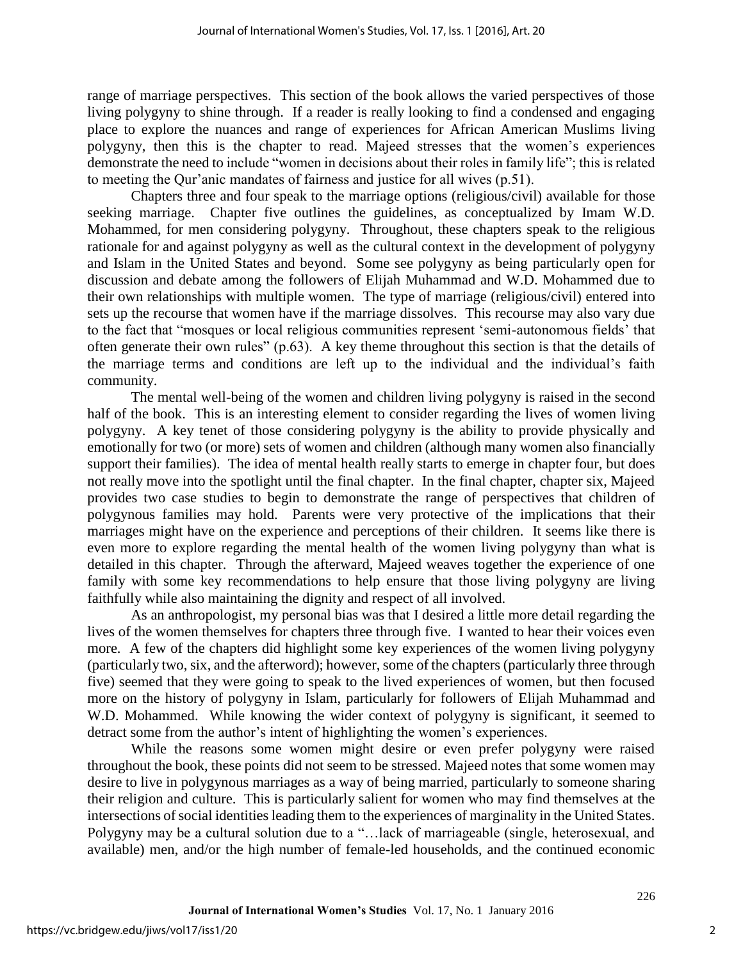range of marriage perspectives. This section of the book allows the varied perspectives of those living polygyny to shine through. If a reader is really looking to find a condensed and engaging place to explore the nuances and range of experiences for African American Muslims living polygyny, then this is the chapter to read. Majeed stresses that the women's experiences demonstrate the need to include "women in decisions about their roles in family life"; this is related to meeting the Qur'anic mandates of fairness and justice for all wives (p.51).

 Chapters three and four speak to the marriage options (religious/civil) available for those seeking marriage. Chapter five outlines the guidelines, as conceptualized by Imam W.D. Mohammed, for men considering polygyny. Throughout, these chapters speak to the religious rationale for and against polygyny as well as the cultural context in the development of polygyny and Islam in the United States and beyond. Some see polygyny as being particularly open for discussion and debate among the followers of Elijah Muhammad and W.D. Mohammed due to their own relationships with multiple women. The type of marriage (religious/civil) entered into sets up the recourse that women have if the marriage dissolves. This recourse may also vary due to the fact that "mosques or local religious communities represent 'semi-autonomous fields' that often generate their own rules" (p.63). A key theme throughout this section is that the details of the marriage terms and conditions are left up to the individual and the individual's faith community.

 The mental well-being of the women and children living polygyny is raised in the second half of the book. This is an interesting element to consider regarding the lives of women living polygyny. A key tenet of those considering polygyny is the ability to provide physically and emotionally for two (or more) sets of women and children (although many women also financially support their families). The idea of mental health really starts to emerge in chapter four, but does not really move into the spotlight until the final chapter. In the final chapter, chapter six, Majeed provides two case studies to begin to demonstrate the range of perspectives that children of polygynous families may hold. Parents were very protective of the implications that their marriages might have on the experience and perceptions of their children. It seems like there is even more to explore regarding the mental health of the women living polygyny than what is detailed in this chapter. Through the afterward, Majeed weaves together the experience of one family with some key recommendations to help ensure that those living polygyny are living faithfully while also maintaining the dignity and respect of all involved.

 As an anthropologist, my personal bias was that I desired a little more detail regarding the lives of the women themselves for chapters three through five. I wanted to hear their voices even more. A few of the chapters did highlight some key experiences of the women living polygyny (particularly two, six, and the afterword); however, some of the chapters (particularly three through five) seemed that they were going to speak to the lived experiences of women, but then focused more on the history of polygyny in Islam, particularly for followers of Elijah Muhammad and W.D. Mohammed. While knowing the wider context of polygyny is significant, it seemed to detract some from the author's intent of highlighting the women's experiences.

 While the reasons some women might desire or even prefer polygyny were raised throughout the book, these points did not seem to be stressed. Majeed notes that some women may desire to live in polygynous marriages as a way of being married, particularly to someone sharing their religion and culture. This is particularly salient for women who may find themselves at the intersections of social identities leading them to the experiences of marginality in the United States. Polygyny may be a cultural solution due to a "…lack of marriageable (single, heterosexual, and available) men, and/or the high number of female-led households, and the continued economic

226